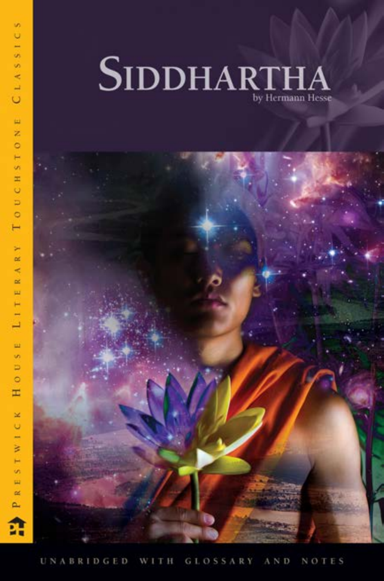

in.  $\cup$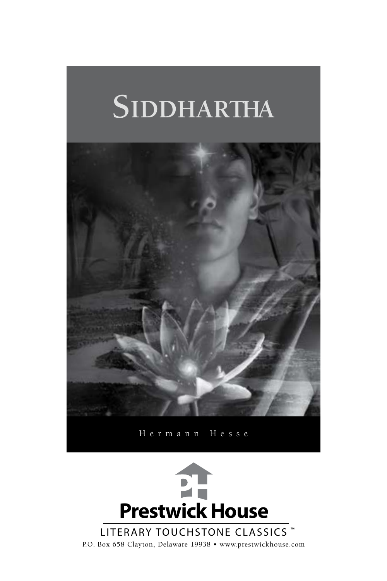# **Siddhartha**



Hermann Hesse



P.O. Box 658 Clayton, Delaware 19938 • www.prestwickhouse.com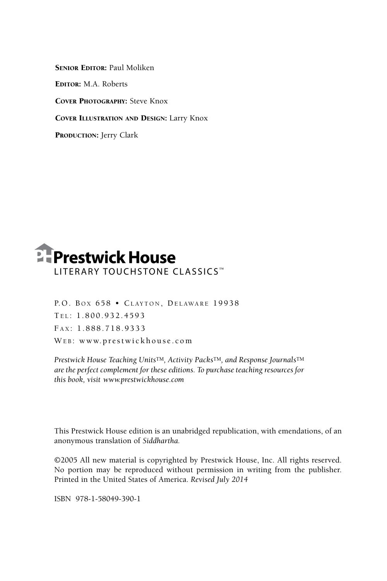SENIOR EDITOR: Paul Moliken Editor: M.A. Roberts Cover Photography: Steve Knox Cover Illustration and Design: Larry Knox

PRODUCTION: Jerry Clark



P.O. BOX 658 · CLAYTON, DELAWARE 19938 Te l : 1 . 8 0 0 . 9 3 2 . 4 5 9 3 FAX: 1.888.718.9333 WEB: www.prestwickhouse.com

*Prestwick House Teaching Units*TM*, Activity Packs*TM*, and Response Journals*TM *are the perfect complement for these editions. To purchase teaching resources for this book, visit www.prestwickhouse.com*

This Prestwick House edition is an unabridged republication, with emendations, of an anonymous translation of *Siddhartha.*

©2005 All new material is copyrighted by Prestwick House, Inc. All rights reserved. No portion may be reproduced without permission in writing from the publisher. Printed in the United States of America. *Revised July 2014*

ISBN 978-1-58049-390-1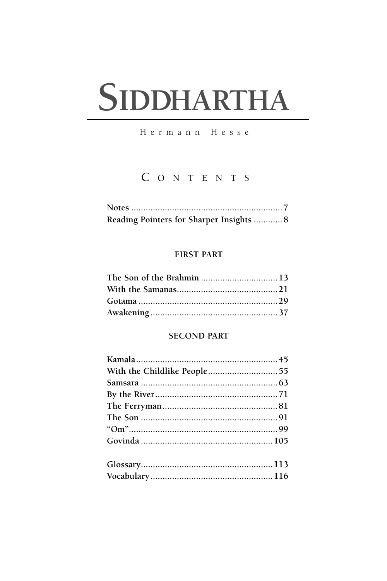# SIDDHARTHA

Hermann Hesse

# CONTENTS

| Reading Pointers for Sharper Insights  8 |  |
|------------------------------------------|--|

# **FIRST PART**

| The Son of the Brahmin 13 |  |
|---------------------------|--|
|                           |  |
|                           |  |
|                           |  |

# **SECOND PART**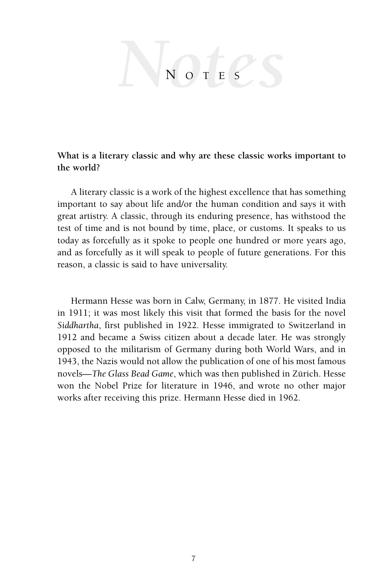# $N$ o t e s

# **What is a literary classic and why are these classic works important to the world?**

A literary classic is a work of the highest excellence that has something important to say about life and/or the human condition and says it with great artistry. A classic, through its enduring presence, has withstood the test of time and is not bound by time, place, or customs. It speaks to us today as forcefully as it spoke to people one hundred or more years ago, and as forcefully as it will speak to people of future generations. For this reason, a classic is said to have universality.

Hermann Hesse was born in Calw, Germany, in 1877. He visited India in 1911; it was most likely this visit that formed the basis for the novel *Siddhartha*, first published in 1922. Hesse immigrated to Switzerland in 1912 and became a Swiss citizen about a decade later. He was strongly opposed to the militarism of Germany during both World Wars, and in 1943, the Nazis would not allow the publication of one of his most famous novels—*The Glass Bead Game*, which was then published in Zürich. Hesse won the Nobel Prize for literature in 1946, and wrote no other major works after receiving this prize. Hermann Hesse died in 1962.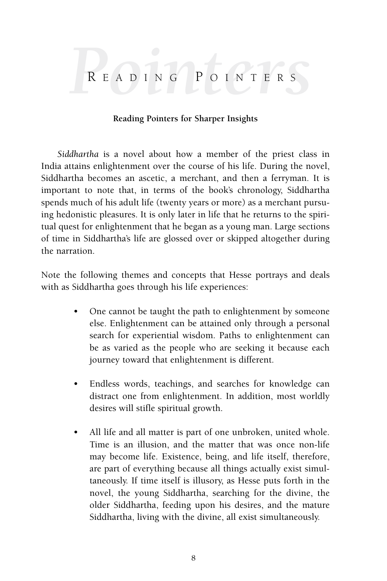# *Pointers* <sup>R</sup> e a d i n g P o i n t e <sup>r</sup> <sup>s</sup>

# **Reading Pointers for Sharper Insights**

*Siddhartha* is a novel about how a member of the priest class in India attains enlightenment over the course of his life. During the novel, Siddhartha becomes an ascetic, a merchant, and then a ferryman. It is important to note that, in terms of the book's chronology, Siddhartha spends much of his adult life (twenty years or more) as a merchant pursuing hedonistic pleasures. It is only later in life that he returns to the spiritual quest for enlightenment that he began as a young man. Large sections of time in Siddhartha's life are glossed over or skipped altogether during the narration.

Note the following themes and concepts that Hesse portrays and deals with as Siddhartha goes through his life experiences:

- One cannot be taught the path to enlightenment by someone else. Enlightenment can be attained only through a personal search for experiential wisdom. Paths to enlightenment can be as varied as the people who are seeking it because each journey toward that enlightenment is different.
- Endless words, teachings, and searches for knowledge can distract one from enlightenment. In addition, most worldly desires will stifle spiritual growth.
- All life and all matter is part of one unbroken, united whole. Time is an illusion, and the matter that was once non-life may become life. Existence, being, and life itself, therefore, are part of everything because all things actually exist simultaneously. If time itself is illusory, as Hesse puts forth in the novel, the young Siddhartha, searching for the divine, the older Siddhartha, feeding upon his desires, and the mature Siddhartha, living with the divine, all exist simultaneously.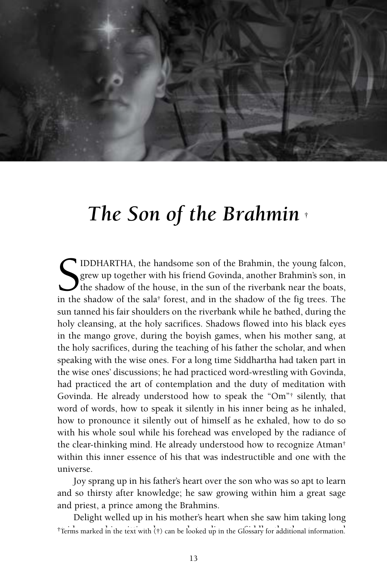

# *The Son of the Brahmin* †

S IDDHARTHA, the handsome son of the Brahmin, the young falcon, grew up together with his friend Govinda, another Brahmin's son, in the shadow of the house, in the sun of the riverbank near the boats, in the shadow of the IDDHARTHA, the handsome son of the Brahmin, the young falcon, grew up together with his friend Govinda, another Brahmin's son, in the shadow of the house, in the sun of the riverbank near the boats, sun tanned his fair shoulders on the riverbank while he bathed, during the holy cleansing, at the holy sacrifices. Shadows flowed into his black eyes in the mango grove, during the boyish games, when his mother sang, at the holy sacrifices, during the teaching of his father the scholar, and when speaking with the wise ones. For a long time Siddhartha had taken part in the wise ones' discussions; he had practiced word-wrestling with Govinda, had practiced the art of contemplation and the duty of meditation with Govinda. He already understood how to speak the "Om"† silently, that word of words, how to speak it silently in his inner being as he inhaled, how to pronounce it silently out of himself as he exhaled, how to do so with his whole soul while his forehead was enveloped by the radiance of the clear-thinking mind. He already understood how to recognize Atman† within this inner essence of his that was indestructible and one with the universe.

Joy sprang up in his father's heart over the son who was so apt to learn and so thirsty after knowledge; he saw growing within him a great sage and priest, a prince among the Brahmins.

Delight welled up in his mother's heart when she saw him taking long <sup>†</sup>Terms marked in the text with (†) can be looked up in the Glossary for additional information.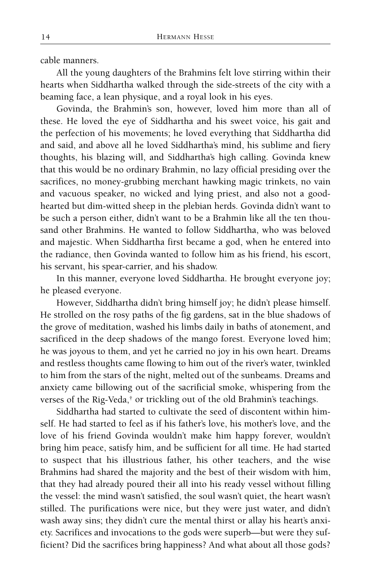cable manners.

All the young daughters of the Brahmins felt love stirring within their hearts when Siddhartha walked through the side-streets of the city with a beaming face, a lean physique, and a royal look in his eyes.

Govinda, the Brahmin's son, however, loved him more than all of these. He loved the eye of Siddhartha and his sweet voice, his gait and the perfection of his movements; he loved everything that Siddhartha did and said, and above all he loved Siddhartha's mind, his sublime and fiery thoughts, his blazing will, and Siddhartha's high calling. Govinda knew that this would be no ordinary Brahmin, no lazy official presiding over the sacrifices, no money-grubbing merchant hawking magic trinkets, no vain and vacuous speaker, no wicked and lying priest, and also not a goodhearted but dim-witted sheep in the plebian herds. Govinda didn't want to be such a person either, didn't want to be a Brahmin like all the ten thousand other Brahmins. He wanted to follow Siddhartha, who was beloved and majestic. When Siddhartha first became a god, when he entered into the radiance, then Govinda wanted to follow him as his friend, his escort, his servant, his spear-carrier, and his shadow.

In this manner, everyone loved Siddhartha. He brought everyone joy; he pleased everyone.

However, Siddhartha didn't bring himself joy; he didn't please himself. He strolled on the rosy paths of the fig gardens, sat in the blue shadows of the grove of meditation, washed his limbs daily in baths of atonement, and sacrificed in the deep shadows of the mango forest. Everyone loved him; he was joyous to them, and yet he carried no joy in his own heart. Dreams and restless thoughts came flowing to him out of the river's water, twinkled to him from the stars of the night, melted out of the sunbeams. Dreams and anxiety came billowing out of the sacrificial smoke, whispering from the verses of the Rig-Veda,† or trickling out of the old Brahmin's teachings.

Siddhartha had started to cultivate the seed of discontent within himself. He had started to feel as if his father's love, his mother's love, and the love of his friend Govinda wouldn't make him happy forever, wouldn't bring him peace, satisfy him, and be sufficient for all time. He had started to suspect that his illustrious father, his other teachers, and the wise Brahmins had shared the majority and the best of their wisdom with him, that they had already poured their all into his ready vessel without filling the vessel: the mind wasn't satisfied, the soul wasn't quiet, the heart wasn't stilled. The purifications were nice, but they were just water, and didn't wash away sins; they didn't cure the mental thirst or allay his heart's anxiety. Sacrifices and invocations to the gods were superb—but were they sufficient? Did the sacrifices bring happiness? And what about all those gods?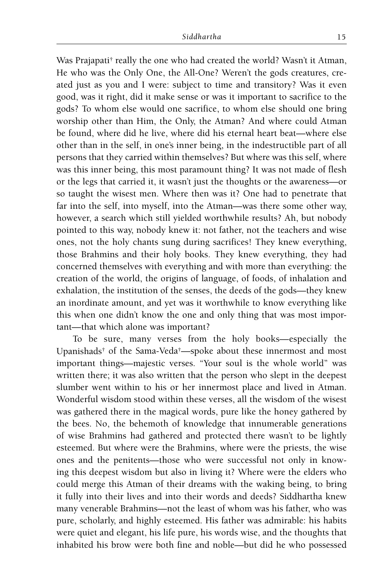Was Prajapati<sup>†</sup> really the one who had created the world? Wasn't it Atman, He who was the Only One, the All-One? Weren't the gods creatures, created just as you and I were: subject to time and transitory? Was it even good, was it right, did it make sense or was it important to sacrifice to the gods? To whom else would one sacrifice, to whom else should one bring worship other than Him, the Only, the Atman? And where could Atman be found, where did he live, where did his eternal heart beat—where else other than in the self, in one's inner being, in the indestructible part of all persons that they carried within themselves? But where was this self, where was this inner being, this most paramount thing? It was not made of flesh or the legs that carried it, it wasn't just the thoughts or the awareness—or so taught the wisest men. Where then was it? One had to penetrate that far into the self, into myself, into the Atman—was there some other way, however, a search which still yielded worthwhile results? Ah, but nobody pointed to this way, nobody knew it: not father, not the teachers and wise ones, not the holy chants sung during sacrifices! They knew everything, those Brahmins and their holy books. They knew everything, they had concerned themselves with everything and with more than everything: the creation of the world, the origins of language, of foods, of inhalation and exhalation, the institution of the senses, the deeds of the gods—they knew an inordinate amount, and yet was it worthwhile to know everything like this when one didn't know the one and only thing that was most important—that which alone was important?

To be sure, many verses from the holy books—especially the Upanishads† of the Sama-Veda†—spoke about these innermost and most important things—majestic verses. "Your soul is the whole world" was written there; it was also written that the person who slept in the deepest slumber went within to his or her innermost place and lived in Atman. Wonderful wisdom stood within these verses, all the wisdom of the wisest was gathered there in the magical words, pure like the honey gathered by the bees. No, the behemoth of knowledge that innumerable generations of wise Brahmins had gathered and protected there wasn't to be lightly esteemed. But where were the Brahmins, where were the priests, the wise ones and the penitents—those who were successful not only in knowing this deepest wisdom but also in living it? Where were the elders who could merge this Atman of their dreams with the waking being, to bring it fully into their lives and into their words and deeds? Siddhartha knew many venerable Brahmins—not the least of whom was his father, who was pure, scholarly, and highly esteemed. His father was admirable: his habits were quiet and elegant, his life pure, his words wise, and the thoughts that inhabited his brow were both fine and noble—but did he who possessed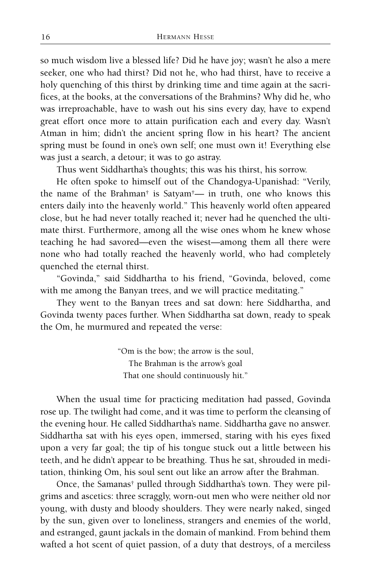so much wisdom live a blessed life? Did he have joy; wasn't he also a mere seeker, one who had thirst? Did not he, who had thirst, have to receive a holy quenching of this thirst by drinking time and time again at the sacrifices, at the books, at the conversations of the Brahmins? Why did he, who was irreproachable, have to wash out his sins every day, have to expend great effort once more to attain purification each and every day. Wasn't Atman in him; didn't the ancient spring flow in his heart? The ancient spring must be found in one's own self; one must own it! Everything else was just a search, a detour; it was to go astray.

Thus went Siddhartha's thoughts; this was his thirst, his sorrow.

He often spoke to himself out of the Chandogya-Upanishad: "Verily, the name of the Brahman† is Satyam†— in truth, one who knows this enters daily into the heavenly world." This heavenly world often appeared close, but he had never totally reached it; never had he quenched the ultimate thirst. Furthermore, among all the wise ones whom he knew whose teaching he had savored—even the wisest—among them all there were none who had totally reached the heavenly world, who had completely quenched the eternal thirst.

"Govinda," said Siddhartha to his friend, "Govinda, beloved, come with me among the Banyan trees, and we will practice meditating."

They went to the Banyan trees and sat down: here Siddhartha, and Govinda twenty paces further. When Siddhartha sat down, ready to speak the Om, he murmured and repeated the verse:

> "Om is the bow; the arrow is the soul, The Brahman is the arrow's goal That one should continuously hit."

When the usual time for practicing meditation had passed, Govinda rose up. The twilight had come, and it was time to perform the cleansing of the evening hour. He called Siddhartha's name. Siddhartha gave no answer. Siddhartha sat with his eyes open, immersed, staring with his eyes fixed upon a very far goal; the tip of his tongue stuck out a little between his teeth, and he didn't appear to be breathing. Thus he sat, shrouded in meditation, thinking Om, his soul sent out like an arrow after the Brahman.

Once, the Samanas† pulled through Siddhartha's town. They were pilgrims and ascetics: three scraggly, worn-out men who were neither old nor young, with dusty and bloody shoulders. They were nearly naked, singed by the sun, given over to loneliness, strangers and enemies of the world, and estranged, gaunt jackals in the domain of mankind. From behind them wafted a hot scent of quiet passion, of a duty that destroys, of a merciless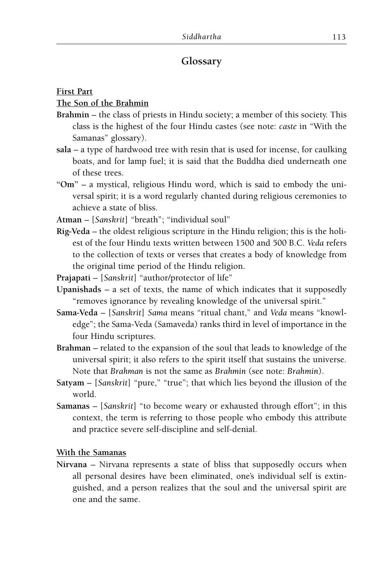# **Glossary**

## **First Part**

# **The Son of the Brahmin**

- **Brahmin**  the class of priests in Hindu society; a member of this society. This class is the highest of the four Hindu castes (see note: *caste* in "With the Samanas" glossary).
- **sala**  a type of hardwood tree with resin that is used for incense, for caulking boats, and for lamp fuel; it is said that the Buddha died underneath one of these trees.
- **"Om"**  a mystical, religious Hindu word, which is said to embody the universal spirit; it is a word regularly chanted during religious ceremonies to achieve a state of bliss.
- **Atman**  [*Sanskrit*] "breath"; "individual soul"
- **Rig-Veda**  the oldest religious scripture in the Hindu religion; this is the holiest of the four Hindu texts written between 1500 and 500 B.C. *Veda* refers to the collection of texts or verses that creates a body of knowledge from the original time period of the Hindu religion.
- **Prajapati**  [*Sanskrit*] "author/protector of life"
- **Upanishads**  a set of texts, the name of which indicates that it supposedly "removes ignorance by revealing knowledge of the universal spirit."
- **Sama-Veda**  [*Sanskrit*] *Sama* means "ritual chant," and *Veda* means "knowledge"; the Sama-Veda (Samaveda) ranks third in level of importance in the four Hindu scriptures.
- **Brahman**  related to the expansion of the soul that leads to knowledge of the universal spirit; it also refers to the spirit itself that sustains the universe. Note that *Brahman* is not the same as *Brahmin* (see note: *Brahmin*).
- **Satyam**  [*Sanskrit*] "pure," "true"; that which lies beyond the illusion of the world.
- **Samanas**  [*Sanskrit*] "to become weary or exhausted through effort"; in this context, the term is referring to those people who embody this attribute and practice severe self-discipline and self-denial.

# **With the Samanas**

**Nirvana** – Nirvana represents a state of bliss that supposedly occurs when all personal desires have been eliminated, one's individual self is extinguished, and a person realizes that the soul and the universal spirit are one and the same.